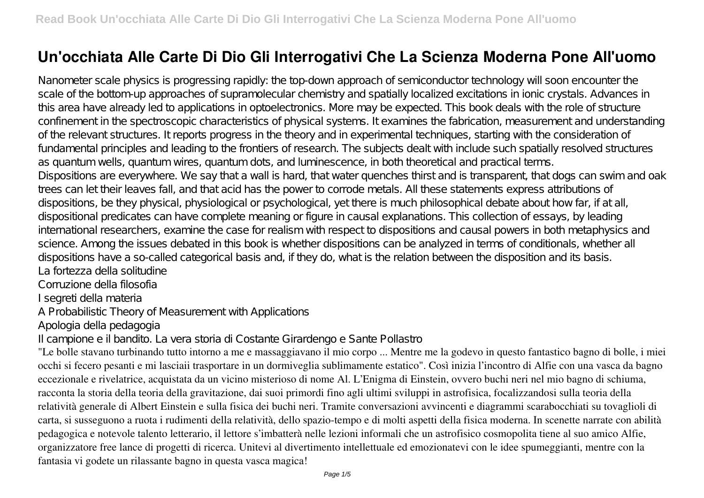# **Un'occhiata Alle Carte Di Dio Gli Interrogativi Che La Scienza Moderna Pone All'uomo**

Nanometer scale physics is progressing rapidly: the top-down approach of semiconductor technology will soon encounter the scale of the bottom-up approaches of supramolecular chemistry and spatially localized excitations in ionic crystals. Advances in this area have already led to applications in optoelectronics. More may be expected. This book deals with the role of structure confinement in the spectroscopic characteristics of physical systems. It examines the fabrication, measurement and understanding of the relevant structures. It reports progress in the theory and in experimental techniques, starting with the consideration of fundamental principles and leading to the frontiers of research. The subjects dealt with include such spatially resolved structures as quantum wells, quantum wires, quantum dots, and luminescence, in both theoretical and practical terms. Dispositions are everywhere. We say that a wall is hard, that water quenches thirst and is transparent, that dogs can swim and oak trees can let their leaves fall, and that acid has the power to corrode metals. All these statements express attributions of dispositions, be they physical, physiological or psychological, yet there is much philosophical debate about how far, if at all, dispositional predicates can have complete meaning or figure in causal explanations. This collection of essays, by leading international researchers, examine the case for realism with respect to dispositions and causal powers in both metaphysics and science. Among the issues debated in this book is whether dispositions can be analyzed in terms of conditionals, whether all dispositions have a so-called categorical basis and, if they do, what is the relation between the disposition and its basis. La fortezza della solitudine

Corruzione della filosofia

I segreti della materia

A Probabilistic Theory of Measurement with Applications

Apologia della pedagogia

Il campione e il bandito. La vera storia di Costante Girardengo e Sante Pollastro

"Le bolle stavano turbinando tutto intorno a me e massaggiavano il mio corpo ... Mentre me la godevo in questo fantastico bagno di bolle, i miei occhi si fecero pesanti e mi lasciaii trasportare in un dormiveglia sublimamente estatico". Così inizia l'incontro di Alfie con una vasca da bagno eccezionale e rivelatrice, acquistata da un vicino misterioso di nome Al. L'Enigma di Einstein, ovvero buchi neri nel mio bagno di schiuma, racconta la storia della teoria della gravitazione, dai suoi primordi fino agli ultimi sviluppi in astrofisica, focalizzandosi sulla teoria della relatività generale di Albert Einstein e sulla fisica dei buchi neri. Tramite conversazioni avvincenti e diagrammi scarabocchiati su tovaglioli di carta, si susseguono a ruota i rudimenti della relatività, dello spazio-tempo e di molti aspetti della fisica moderna. In scenette narrate con abilità pedagogica e notevole talento letterario, il lettore s'imbatterà nelle lezioni informali che un astrofisico cosmopolita tiene al suo amico Alfie, organizzatore free lance di progetti di ricerca. Unitevi al divertimento intellettuale ed emozionatevi con le idee spumeggianti, mentre con la fantasia vi godete un rilassante bagno in questa vasca magica!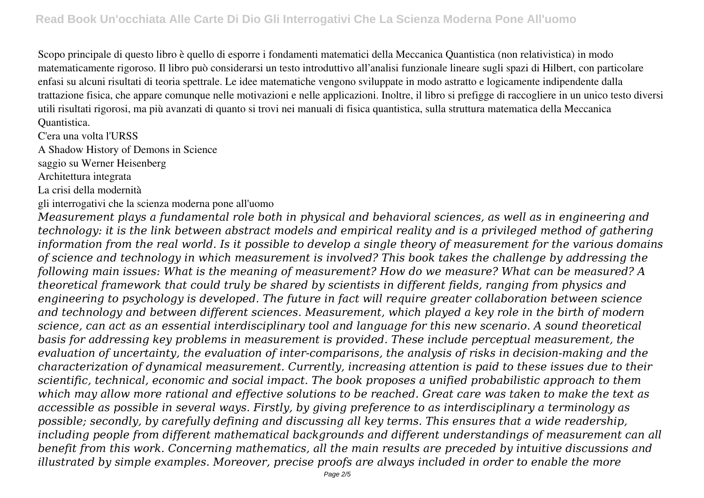Scopo principale di questo libro è quello di esporre i fondamenti matematici della Meccanica Quantistica (non relativistica) in modo matematicamente rigoroso. Il libro può considerarsi un testo introduttivo all'analisi funzionale lineare sugli spazi di Hilbert, con particolare enfasi su alcuni risultati di teoria spettrale. Le idee matematiche vengono sviluppate in modo astratto e logicamente indipendente dalla trattazione fisica, che appare comunque nelle motivazioni e nelle applicazioni. Inoltre, il libro si prefigge di raccogliere in un unico testo diversi utili risultati rigorosi, ma più avanzati di quanto si trovi nei manuali di fisica quantistica, sulla struttura matematica della Meccanica Quantistica.

C'era una volta l'URSS

A Shadow History of Demons in Science

saggio su Werner Heisenberg

Architettura integrata

La crisi della modernità

gli interrogativi che la scienza moderna pone all'uomo

*Measurement plays a fundamental role both in physical and behavioral sciences, as well as in engineering and technology: it is the link between abstract models and empirical reality and is a privileged method of gathering information from the real world. Is it possible to develop a single theory of measurement for the various domains of science and technology in which measurement is involved? This book takes the challenge by addressing the following main issues: What is the meaning of measurement? How do we measure? What can be measured? A theoretical framework that could truly be shared by scientists in different fields, ranging from physics and engineering to psychology is developed. The future in fact will require greater collaboration between science and technology and between different sciences. Measurement, which played a key role in the birth of modern science, can act as an essential interdisciplinary tool and language for this new scenario. A sound theoretical basis for addressing key problems in measurement is provided. These include perceptual measurement, the evaluation of uncertainty, the evaluation of inter-comparisons, the analysis of risks in decision-making and the characterization of dynamical measurement. Currently, increasing attention is paid to these issues due to their scientific, technical, economic and social impact. The book proposes a unified probabilistic approach to them which may allow more rational and effective solutions to be reached. Great care was taken to make the text as accessible as possible in several ways. Firstly, by giving preference to as interdisciplinary a terminology as possible; secondly, by carefully defining and discussing all key terms. This ensures that a wide readership, including people from different mathematical backgrounds and different understandings of measurement can all benefit from this work. Concerning mathematics, all the main results are preceded by intuitive discussions and illustrated by simple examples. Moreover, precise proofs are always included in order to enable the more*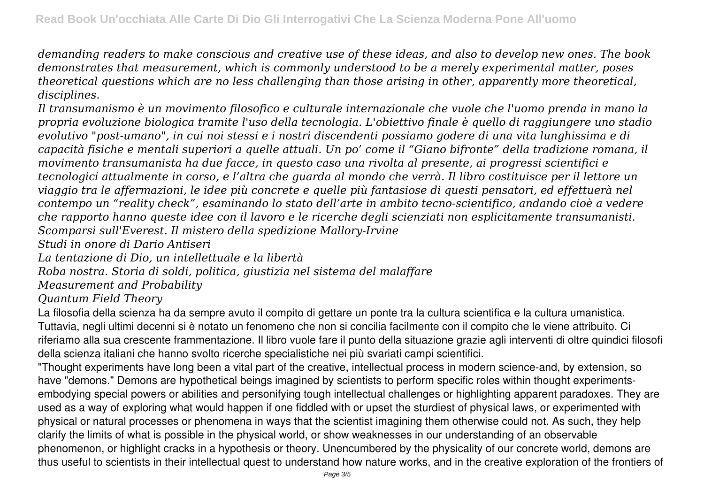*demanding readers to make conscious and creative use of these ideas, and also to develop new ones. The book demonstrates that measurement, which is commonly understood to be a merely experimental matter, poses theoretical questions which are no less challenging than those arising in other, apparently more theoretical, disciplines.*

*Il transumanismo è un movimento filosofico e culturale internazionale che vuole che l'uomo prenda in mano la propria evoluzione biologica tramite l'uso della tecnologia. L'obiettivo finale è quello di raggiungere uno stadio evolutivo "post-umano", in cui noi stessi e i nostri discendenti possiamo godere di una vita lunghissima e di capacità fisiche e mentali superiori a quelle attuali. Un po' come il "Giano bifronte" della tradizione romana, il movimento transumanista ha due facce, in questo caso una rivolta al presente, ai progressi scientifici e tecnologici attualmente in corso, e l'altra che guarda al mondo che verrà. Il libro costituisce per il lettore un viaggio tra le affermazioni, le idee più concrete e quelle più fantasiose di questi pensatori, ed effettuerà nel contempo un "reality check", esaminando lo stato dell'arte in ambito tecno-scientifico, andando cioè a vedere che rapporto hanno queste idee con il lavoro e le ricerche degli scienziati non esplicitamente transumanisti. Scomparsi sull'Everest. Il mistero della spedizione Mallory-Irvine*

*Studi in onore di Dario Antiseri*

*La tentazione di Dio, un intellettuale e la libertà*

*Roba nostra. Storia di soldi, politica, giustizia nel sistema del malaffare*

*Measurement and Probability*

*Quantum Field Theory*

La filosofia della scienza ha da sempre avuto il compito di gettare un ponte tra la cultura scientifica e la cultura umanistica. Tuttavia, negli ultimi decenni si è notato un fenomeno che non si concilia facilmente con il compito che le viene attribuito. Ci riferiamo alla sua crescente frammentazione. Il libro vuole fare il punto della situazione grazie agli interventi di oltre quindici filosofi della scienza italiani che hanno svolto ricerche specialistiche nei più svariati campi scientifici.

"Thought experiments have long been a vital part of the creative, intellectual process in modern science-and, by extension, so have "demons." Demons are hypothetical beings imagined by scientists to perform specific roles within thought experimentsembodying special powers or abilities and personifying tough intellectual challenges or highlighting apparent paradoxes. They are used as a way of exploring what would happen if one fiddled with or upset the sturdiest of physical laws, or experimented with physical or natural processes or phenomena in ways that the scientist imagining them otherwise could not. As such, they help clarify the limits of what is possible in the physical world, or show weaknesses in our understanding of an observable phenomenon, or highlight cracks in a hypothesis or theory. Unencumbered by the physicality of our concrete world, demons are thus useful to scientists in their intellectual quest to understand how nature works, and in the creative exploration of the frontiers of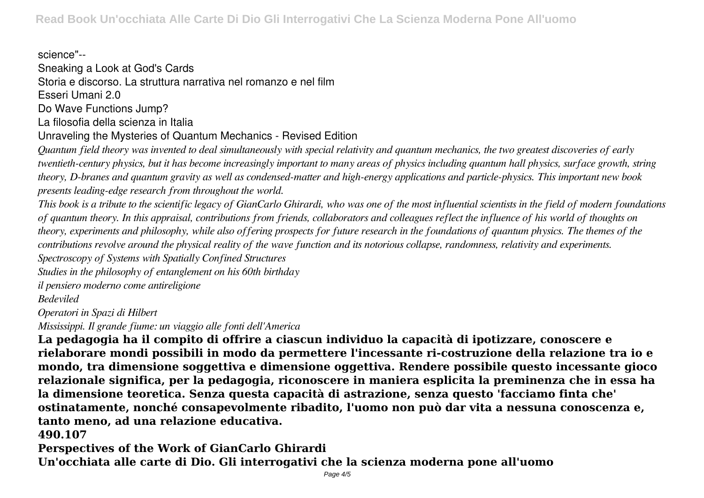science"--

Sneaking a Look at God's Cards Storia e discorso. La struttura narrativa nel romanzo e nel film Esseri Umani 2.0

Do Wave Functions Jump?

La filosofia della scienza in Italia

Unraveling the Mysteries of Quantum Mechanics - Revised Edition

*Quantum field theory was invented to deal simultaneously with special relativity and quantum mechanics, the two greatest discoveries of early twentieth-century physics, but it has become increasingly important to many areas of physics including quantum hall physics, surface growth, string theory, D-branes and quantum gravity as well as condensed-matter and high-energy applications and particle-physics. This important new book presents leading-edge research from throughout the world.*

*This book is a tribute to the scientific legacy of GianCarlo Ghirardi, who was one of the most influential scientists in the field of modern foundations of quantum theory. In this appraisal, contributions from friends, collaborators and colleagues reflect the influence of his world of thoughts on theory, experiments and philosophy, while also offering prospects for future research in the foundations of quantum physics. The themes of the contributions revolve around the physical reality of the wave function and its notorious collapse, randomness, relativity and experiments.*

*Spectroscopy of Systems with Spatially Confined Structures*

*Studies in the philosophy of entanglement on his 60th birthday*

*il pensiero moderno come antireligione*

*Bedeviled*

*Operatori in Spazi di Hilbert*

*Mississippi. Il grande fiume: un viaggio alle fonti dell'America*

**La pedagogia ha il compito di offrire a ciascun individuo la capacità di ipotizzare, conoscere e rielaborare mondi possibili in modo da permettere l'incessante ri-costruzione della relazione tra io e mondo, tra dimensione soggettiva e dimensione oggettiva. Rendere possibile questo incessante gioco relazionale significa, per la pedagogia, riconoscere in maniera esplicita la preminenza che in essa ha la dimensione teoretica. Senza questa capacità di astrazione, senza questo 'facciamo finta che' ostinatamente, nonché consapevolmente ribadito, l'uomo non può dar vita a nessuna conoscenza e, tanto meno, ad una relazione educativa.**

## **490.107**

**Perspectives of the Work of GianCarlo Ghirardi Un'occhiata alle carte di Dio. Gli interrogativi che la scienza moderna pone all'uomo**